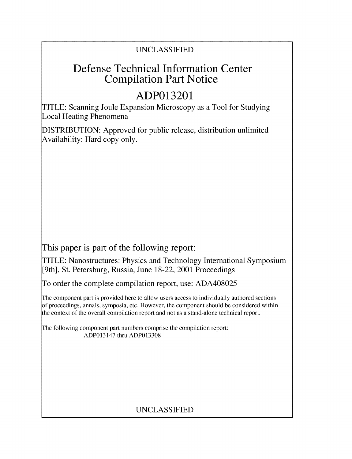### UNCLASSIFIED

## Defense Technical Information Center Compilation Part Notice

# **ADP013201**

TITLE: Scanning Joule Expansion Microscopy as a Tool for Studying Local Heating Phenomena

DISTRIBUTION: Approved for public release, distribution unlimited Availability: Hard copy only.

This paper is part of the following report:

TITLE: Nanostructures: Physics and Technology International Symposium [9th], St. Petersburg, Russia, June 18-22, 2001 Proceedings

To order the complete compilation report, use: ADA408025

The component part is provided here to allow users access to individually authored sections f proceedings, annals, symposia, etc. However, the component should be considered within the context of the overall compilation report and not as a stand-alone technical report.

The following component part numbers comprise the compilation report: ADP013147 thru ADP013308

## UNCLASSIFIED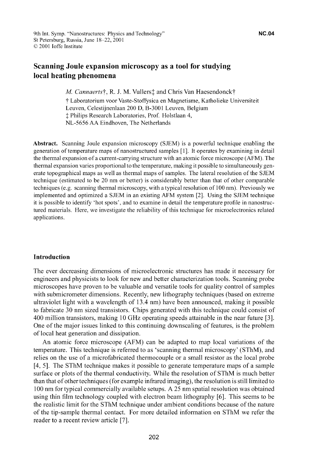### Scanning Joule expansion microscopy as a tool for studying local heating phenomena

*M. Cannaerts†, R. J. M. Vullers† and Chris Van Haesendonck†* 

t Laboratorium voor Vaste-Stoffysica en Magnetisme, Katholieke Universiteit Leuven, Celestijnenlaan 200 D, B-3001 Leuven, Belgium  $\dagger$  Philips Research Laboratories, Prof. Holstlaan 4, NL-5656 AA Eindhoven, The Netherlands

Abstract. Scanning Joule expansion microscopy (SJEM) is a powerful technique enabling the generation of temperature maps of nanostructured samples **[1].** It operates by examining in detail the thermal expansion of a current-carrying structure with an atomic force microscope (AFM). The thermal expansion varies proportional to the temperature, making it possible to simultaneously generate topographical maps as well as thermal maps of samples. The lateral resolution of the SJEM technique (estimated to be 20 nm or better) is considerably better than that of other comparable techniques (e.g. scanning thermal microscopy, with a typical resolution of 100 nm). Previously we implemented and optimized a SJEM in an existing AFM system [2]. Using the SJEM technique it is possible to identify 'hot spots', and to examine in detail the temperature profile in nanostructured materials. Here, we investigate the reliability of this technique for microelectronics related applications.

#### Introduction

The ever decreasing dimensions of microelectronic structures has made it necessary for engineers and physicists to look for new and better characterization tools. Scanning probe microscopes have proven to be valuable and versatile tools for quality control of samples with submicrometer dimensions. Recently, new lithography techniques (based on extreme ultraviolet light with a wavelength of 13.4 nm) have been announced, making it possible to fabricate 30 nm sized transistors. Chips generated with this technique could consist of 400 million transistors, making 10 GHz operating speeds attainable in the near future **[3].** One of the major issues linked to this continuing downscaling of features, is the problem of local heat generation and dissipation.

An atomic force microscope (AFM) can be adapted to map local variations of the temperature. This technique is referred to as 'scanning thermal microscopy' (SThM), and relies on the use of a microfabricated thermocouple or a small resistor as the local probe [4, **5].** The SThM technique makes it possible to generate temperature maps of a sample surface or plots of the thermal conductivity. While the resolution of SThM is much better than that of other techniques (for example infrared imaging), the resolution is still limited to 100 nm for typical commercially available setups. A 25 nm spatial resolution was obtained using thin film technology coupled with electron beam lithography [6]. This seems to be the realistic limit for the SThM technique under ambient conditions because of the nature of the tip-sample thermal contact. For more detailed information on SThM we refer the reader to a recent review article **[7].**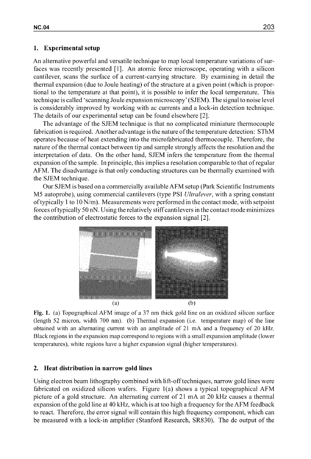#### **1.** Experimental setup

An alternative powerful and versatile technique to map local temperature variations of surfaces was recently presented [1]. An atomic force microscope, operating with a silicon cantilever, scans the surface of a current-carrying structure. By examining in detail the thermal expansion (due to Joule heating) of the structure at a given point (which is proportional to the temperature at that point), it is possible to infer the local temperature. This technique is called'scanning Joule expansion microscopy' (SJEM). The signal to noise level is considerably improved by working with ac currents and a lock-in detection technique. The details of our experimental setup can be found elsewhere [2].

The advantage of the SJEM technique is that no complicated miniature thermocouple fabrication is required. Another advantage is the nature of the temperature detection: SThM operates because of heat extending into the microfabricated thermocouple. Therefore, the nature of the thermal contact between tip and sample strongly affects the resolution and the interpretation of data. On the other hand, SJEM infers the temperature from the thermal expansion of the sample. In principle, this implies a resolution comparable to that of regular AFM. The disadvantage is that only conducting structures can be thermally examined with the SJEM technique.

Our SJEM is based on a commercially available AFM setup (Park Scientific Instruments M5 autoprobe), using commercial cantilevers (type PSI *Ultralever,* with a spring constant of typically **I** to 10 N/m). Measurements were performed in the contact mode, with setpoint forces oftypically 50 nN. Using the relatively stiffcantilevers in the contact mode minimizes the contribution of electrostatic forces to the expansion signal [2].



Fig. **1.** (a) Topographical AFM image of a 37 nm thick gold line on an oxidized silicon surface (length 52 micron, width 700 nm). (b) Thermal expansion (i.e. temperature map) of the line obtained with an alternating current with an amplitude of 21 mA and a frequency of 20 kHz. Black regions in the expansion map correspond to regions with a small expansion amplitude (lower temperatures), white regions have a higher expansion signal (higher temperatures).

#### 2. Heat distribution in narrow gold lines

Using electron beam lithography combined with lift-off techniques, narrow gold lines were fabricated on oxidized silicon wafers. Figure l(a) shows a typical topographical AFM picture of a gold structure. An alternating current of 21 mA at 20 kHz causes a thermal expansion of the gold line at 40 kHz, which is at too high a frequency for the AFM feedback to react. Therefore, the error signal will contain this high frequency component, which can be measured with a lock-in amplifier (Stanford Research, SR830). The dc output of the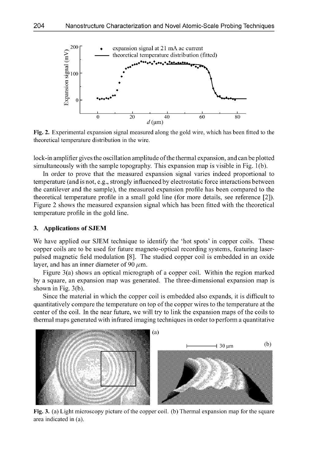

Fig. 2. Experimental expansion signal measured along the gold wire, which has been fitted to the theoretical temperature distribution in the wire.

lock-in amplifier gives the oscillation amplitude ofthe thermal expansion, and can be plotted simultaneously with the sample topography. This expansion map is visible in Fig. 1 (b).

In order to prove that the measured expansion signal varies indeed proportional to temperature (and is not, e.g., strongly influenced by electrostatic force interactions between the cantilever and the sample), the measured expansion profile has been compared to the theoretical temperature profile in a small gold line (for more details, see reference [2]). Figure 2 shows the measured expansion signal which has been fitted with the theoretical temperature profile in the gold line.

#### 3. Applications of **SJEM**

We have applied our SJEM technique to identify the 'hot spots' in copper coils. These copper coils are to be used for future magneto-optical recording systems, featuring laserpulsed magnetic field modulation [8]. The studied copper coil is embedded in an oxide layer, and has an inner diameter of 90  $\mu$ m.

Figure 3(a) shows an optical micrograph of a copper coil. Within the region marked by a square, an expansion map was generated. The three-dimensional expansion map is shown in Fig. 3(b).

Since the material in which the copper coil is embedded also expands, it is difficult to quantitatively compare the temperature on top of the copper wires to the temperature at the center of the coil. In the near future, we will try to link the expansion maps of the coils to thermal maps generated with infrared imaging techniques in order to perform a quantitative



Fig. **3. (a)** Light microscopy picture of the copper coil. (b) Thermal expansion map for the square area indicated in (a).